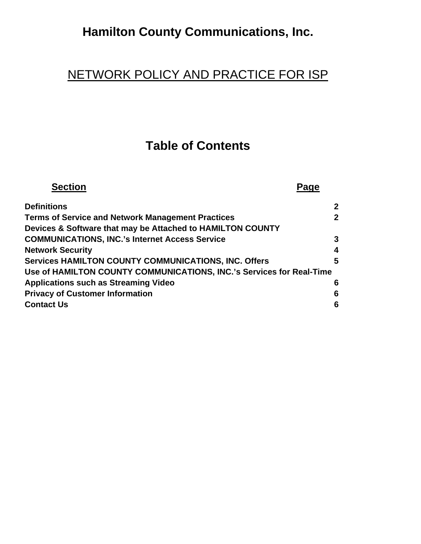# **Hamilton County Communications, Inc.**

## NETWORK POLICY AND PRACTICE FOR ISP

## **Table of Contents**

| <b>Section</b>                                                       |                |
|----------------------------------------------------------------------|----------------|
| <b>Definitions</b>                                                   | $\mathbf{2}$   |
| <b>Terms of Service and Network Management Practices</b>             | $\overline{2}$ |
| Devices & Software that may be Attached to HAMILTON COUNTY           |                |
| <b>COMMUNICATIONS, INC.'s Internet Access Service</b>                | 3              |
| <b>Network Security</b>                                              | 4              |
| <b>Services HAMILTON COUNTY COMMUNICATIONS, INC. Offers</b>          | 5              |
| Use of HAMILTON COUNTY COMMUNICATIONS, INC.'s Services for Real-Time |                |
| <b>Applications such as Streaming Video</b>                          | 6              |
| <b>Privacy of Customer Information</b>                               | 6              |
| <b>Contact Us</b>                                                    | 6              |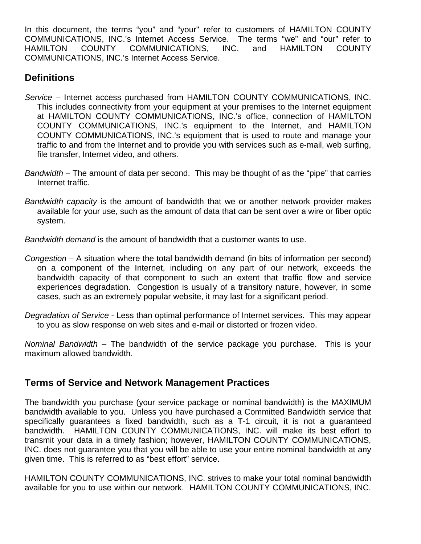In this document, the terms "you" and "your" refer to customers of HAMILTON COUNTY COMMUNICATIONS, INC.'s Internet Access Service. The terms "we" and "our" refer to HAMILTON COUNTY COMMUNICATIONS, INC. and HAMILTON COUNTY COMMUNICATIONS, INC.'s Internet Access Service.

### **Definitions**

- *Service*  Internet access purchased from HAMILTON COUNTY COMMUNICATIONS, INC. This includes connectivity from your equipment at your premises to the Internet equipment at HAMILTON COUNTY COMMUNICATIONS, INC.'s office, connection of HAMILTON COUNTY COMMUNICATIONS, INC.'s equipment to the Internet, and HAMILTON COUNTY COMMUNICATIONS, INC.'s equipment that is used to route and manage your traffic to and from the Internet and to provide you with services such as e-mail, web surfing, file transfer, Internet video, and others.
- *Bandwidth*  The amount of data per second. This may be thought of as the "pipe" that carries Internet traffic.
- *Bandwidth capacity* is the amount of bandwidth that we or another network provider makes available for your use, such as the amount of data that can be sent over a wire or fiber optic system.

*Bandwidth demand* is the amount of bandwidth that a customer wants to use.

- *Congestion*  A situation where the total bandwidth demand (in bits of information per second) on a component of the Internet, including on any part of our network, exceeds the bandwidth capacity of that component to such an extent that traffic flow and service experiences degradation. Congestion is usually of a transitory nature, however, in some cases, such as an extremely popular website, it may last for a significant period.
- *Degradation of Service* Less than optimal performance of Internet services. This may appear to you as slow response on web sites and e-mail or distorted or frozen video.

*Nominal Bandwidth –* The bandwidth of the service package you purchase. This is your maximum allowed bandwidth.

#### **Terms of Service and Network Management Practices**

The bandwidth you purchase (your service package or nominal bandwidth) is the MAXIMUM bandwidth available to you. Unless you have purchased a Committed Bandwidth service that specifically guarantees a fixed bandwidth, such as a T-1 circuit, it is not a guaranteed bandwidth. HAMILTON COUNTY COMMUNICATIONS, INC. will make its best effort to transmit your data in a timely fashion; however, HAMILTON COUNTY COMMUNICATIONS, INC. does not guarantee you that you will be able to use your entire nominal bandwidth at any given time. This is referred to as "best effort" service.

HAMILTON COUNTY COMMUNICATIONS, INC. strives to make your total nominal bandwidth available for you to use within our network. HAMILTON COUNTY COMMUNICATIONS, INC.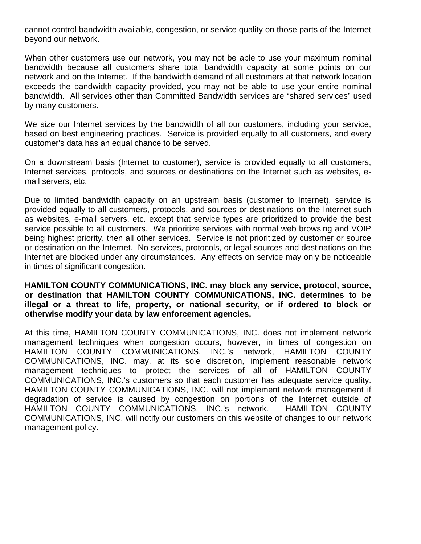cannot control bandwidth available, congestion, or service quality on those parts of the Internet beyond our network.

When other customers use our network, you may not be able to use your maximum nominal bandwidth because all customers share total bandwidth capacity at some points on our network and on the Internet. If the bandwidth demand of all customers at that network location exceeds the bandwidth capacity provided, you may not be able to use your entire nominal bandwidth. All services other than Committed Bandwidth services are "shared services" used by many customers.

We size our Internet services by the bandwidth of all our customers, including your service, based on best engineering practices. Service is provided equally to all customers, and every customer's data has an equal chance to be served.

On a downstream basis (Internet to customer), service is provided equally to all customers, Internet services, protocols, and sources or destinations on the Internet such as websites, email servers, etc.

Due to limited bandwidth capacity on an upstream basis (customer to Internet), service is provided equally to all customers, protocols, and sources or destinations on the Internet such as websites, e-mail servers, etc. except that service types are prioritized to provide the best service possible to all customers. We prioritize services with normal web browsing and VOIP being highest priority, then all other services. Service is not prioritized by customer or source or destination on the Internet. No services, protocols, or legal sources and destinations on the Internet are blocked under any circumstances. Any effects on service may only be noticeable in times of significant congestion.

**HAMILTON COUNTY COMMUNICATIONS, INC. may block any service, protocol, source, or destination that HAMILTON COUNTY COMMUNICATIONS, INC. determines to be illegal or a threat to life, property, or national security, or if ordered to block or otherwise modify your data by law enforcement agencies,** 

At this time, HAMILTON COUNTY COMMUNICATIONS, INC. does not implement network management techniques when congestion occurs, however, in times of congestion on HAMILTON COUNTY COMMUNICATIONS, INC.'s network, HAMILTON COUNTY COMMUNICATIONS, INC. may, at its sole discretion, implement reasonable network management techniques to protect the services of all of HAMILTON COUNTY COMMUNICATIONS, INC.'s customers so that each customer has adequate service quality. HAMILTON COUNTY COMMUNICATIONS, INC. will not implement network management if degradation of service is caused by congestion on portions of the Internet outside of HAMILTON COUNTY COMMUNICATIONS, INC.'s network. HAMILTON COUNTY COMMUNICATIONS, INC. will notify our customers on this website of changes to our network management policy.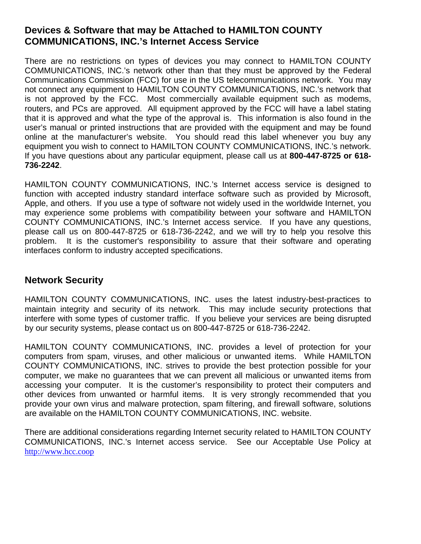### **Devices & Software that may be Attached to HAMILTON COUNTY COMMUNICATIONS, INC.'s Internet Access Service**

There are no restrictions on types of devices you may connect to HAMILTON COUNTY COMMUNICATIONS, INC.'s network other than that they must be approved by the Federal Communications Commission (FCC) for use in the US telecommunications network. You may not connect any equipment to HAMILTON COUNTY COMMUNICATIONS, INC.'s network that is not approved by the FCC. Most commercially available equipment such as modems, routers, and PCs are approved. All equipment approved by the FCC will have a label stating that it is approved and what the type of the approval is. This information is also found in the user's manual or printed instructions that are provided with the equipment and may be found online at the manufacturer's website. You should read this label whenever you buy any equipment you wish to connect to HAMILTON COUNTY COMMUNICATIONS, INC.'s network. If you have questions about any particular equipment, please call us at **800-447-8725 or 618- 736-2242**.

HAMILTON COUNTY COMMUNICATIONS, INC.'s Internet access service is designed to function with accepted industry standard interface software such as provided by Microsoft, Apple, and others. If you use a type of software not widely used in the worldwide Internet, you may experience some problems with compatibility between your software and HAMILTON COUNTY COMMUNICATIONS, INC.'s Internet access service. If you have any questions, please call us on 800-447-8725 or 618-736-2242, and we will try to help you resolve this problem. It is the customer's responsibility to assure that their software and operating interfaces conform to industry accepted specifications.

#### **Network Security**

HAMILTON COUNTY COMMUNICATIONS, INC. uses the latest industry-best-practices to maintain integrity and security of its network. This may include security protections that interfere with some types of customer traffic. If you believe your services are being disrupted by our security systems, please contact us on 800-447-8725 or 618-736-2242.

HAMILTON COUNTY COMMUNICATIONS, INC. provides a level of protection for your computers from spam, viruses, and other malicious or unwanted items. While HAMILTON COUNTY COMMUNICATIONS, INC. strives to provide the best protection possible for your computer, we make no guarantees that we can prevent all malicious or unwanted items from accessing your computer. It is the customer's responsibility to protect their computers and other devices from unwanted or harmful items. It is very strongly recommended that you provide your own virus and malware protection, spam filtering, and firewall software, solutions are available on the HAMILTON COUNTY COMMUNICATIONS, INC. website.

There are additional considerations regarding Internet security related to HAMILTON COUNTY COMMUNICATIONS, INC.'s Internet access service. See our Acceptable Use Policy at http://www.hcc.coop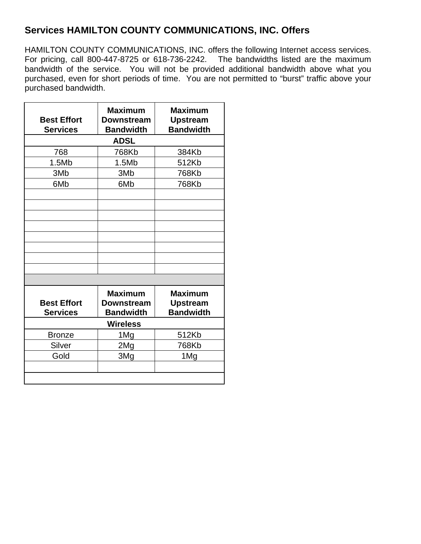### **Services HAMILTON COUNTY COMMUNICATIONS, INC. Offers**

HAMILTON COUNTY COMMUNICATIONS, INC. offers the following Internet access services. For pricing, call 800-447-8725 or 618-736-2242. The bandwidths listed are the maximum bandwidth of the service. You will not be provided additional bandwidth above what you purchased, even for short periods of time. You are not permitted to "burst" traffic above your purchased bandwidth.

| <b>Downstream</b><br><b>Bandwidth</b>                   | <b>Upstream</b><br><b>Bandwidth</b>                   |  |  |
|---------------------------------------------------------|-------------------------------------------------------|--|--|
| <b>ADSL</b>                                             |                                                       |  |  |
| 768Kb                                                   | 384Kb                                                 |  |  |
| 1.5Mb                                                   | 512Kb                                                 |  |  |
| 3M <sub>b</sub>                                         | 768Kb                                                 |  |  |
| 6M <sub>b</sub>                                         | 768Kb                                                 |  |  |
|                                                         |                                                       |  |  |
|                                                         |                                                       |  |  |
|                                                         |                                                       |  |  |
|                                                         |                                                       |  |  |
|                                                         |                                                       |  |  |
|                                                         |                                                       |  |  |
|                                                         |                                                       |  |  |
|                                                         |                                                       |  |  |
|                                                         |                                                       |  |  |
| <b>Maximum</b><br><b>Downstream</b><br><b>Bandwidth</b> | <b>Maximum</b><br><b>Upstream</b><br><b>Bandwidth</b> |  |  |
| <b>Wireless</b>                                         |                                                       |  |  |
| 1Mg                                                     | 512Kb                                                 |  |  |
|                                                         | 768Kb                                                 |  |  |
| 3Mg                                                     | 1Mg                                                   |  |  |
|                                                         |                                                       |  |  |
|                                                         | 2Mg                                                   |  |  |